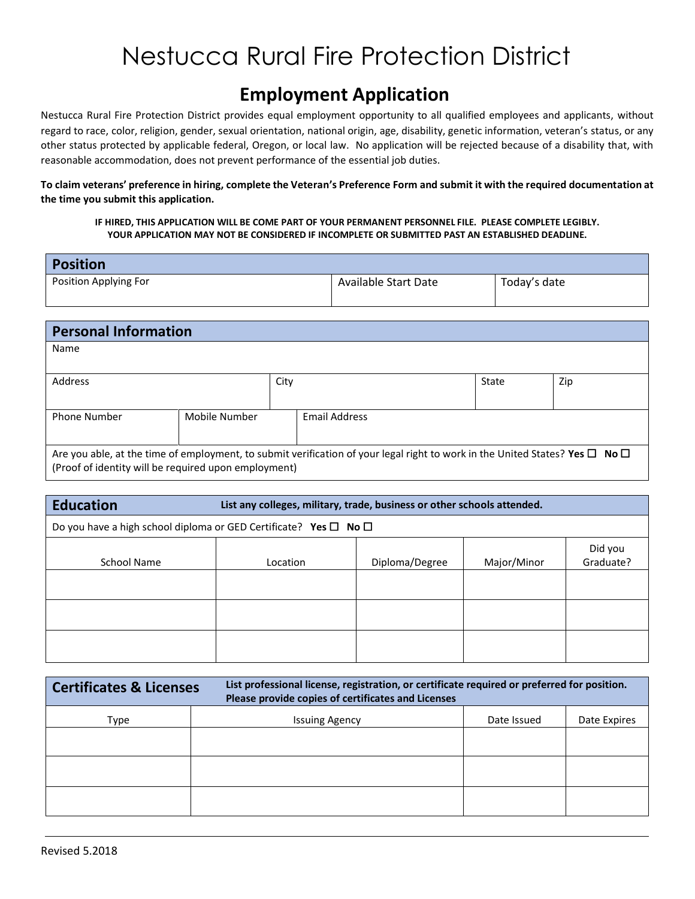### **Employment Application**

Nestucca Rural Fire Protection District provides equal employment opportunity to all qualified employees and applicants, without regard to race, color, religion, gender, sexual orientation, national origin, age, disability, genetic information, veteran's status, or any other status protected by applicable federal, Oregon, or local law. No application will be rejected because of a disability that, with reasonable accommodation, does not prevent performance of the essential job duties.

**To claim veterans' preference in hiring, complete the Veteran's Preference Form and submit it with the required documentation at the time you submit this application.**

#### **IF HIRED, THIS APPLICATION WILL BE COME PART OF YOUR PERMANENT PERSONNEL FILE. PLEASE COMPLETE LEGIBLY. YOUR APPLICATION MAY NOT BE CONSIDERED IF INCOMPLETE OR SUBMITTED PAST AN ESTABLISHED DEADLINE.**

| <b>Position</b>       |                      |              |
|-----------------------|----------------------|--------------|
| Position Applying For | Available Start Date | Today's date |
|                       |                      |              |

| <b>Personal Information</b>                                                                                                            |                                                      |      |                      |       |     |  |  |  |
|----------------------------------------------------------------------------------------------------------------------------------------|------------------------------------------------------|------|----------------------|-------|-----|--|--|--|
| Name                                                                                                                                   |                                                      |      |                      |       |     |  |  |  |
|                                                                                                                                        |                                                      |      |                      |       |     |  |  |  |
| Address                                                                                                                                |                                                      | City |                      | State | Zip |  |  |  |
|                                                                                                                                        |                                                      |      |                      |       |     |  |  |  |
| <b>Phone Number</b>                                                                                                                    | Mobile Number                                        |      | <b>Email Address</b> |       |     |  |  |  |
|                                                                                                                                        |                                                      |      |                      |       |     |  |  |  |
| Are you able, at the time of employment, to submit verification of your legal right to work in the United States? Yes $\Box$ No $\Box$ |                                                      |      |                      |       |     |  |  |  |
|                                                                                                                                        | (Proof of identity will be required upon employment) |      |                      |       |     |  |  |  |

| <b>Education</b>                                                                 | List any colleges, military, trade, business or other schools attended. |                |             |                      |  |  |  |  |  |  |  |
|----------------------------------------------------------------------------------|-------------------------------------------------------------------------|----------------|-------------|----------------------|--|--|--|--|--|--|--|
| Do you have a high school diploma or GED Certificate? Yes $\square$ No $\square$ |                                                                         |                |             |                      |  |  |  |  |  |  |  |
| School Name                                                                      | Location                                                                | Diploma/Degree | Major/Minor | Did you<br>Graduate? |  |  |  |  |  |  |  |
|                                                                                  |                                                                         |                |             |                      |  |  |  |  |  |  |  |
|                                                                                  |                                                                         |                |             |                      |  |  |  |  |  |  |  |
|                                                                                  |                                                                         |                |             |                      |  |  |  |  |  |  |  |

| <b>Certificates &amp; Licenses</b> | Please provide copies of certificates and Licenses | List professional license, registration, or certificate required or preferred for position. |              |  |  |  |  |  |  |
|------------------------------------|----------------------------------------------------|---------------------------------------------------------------------------------------------|--------------|--|--|--|--|--|--|
| Type                               | <b>Issuing Agency</b>                              | Date Issued                                                                                 | Date Expires |  |  |  |  |  |  |
|                                    |                                                    |                                                                                             |              |  |  |  |  |  |  |
|                                    |                                                    |                                                                                             |              |  |  |  |  |  |  |
|                                    |                                                    |                                                                                             |              |  |  |  |  |  |  |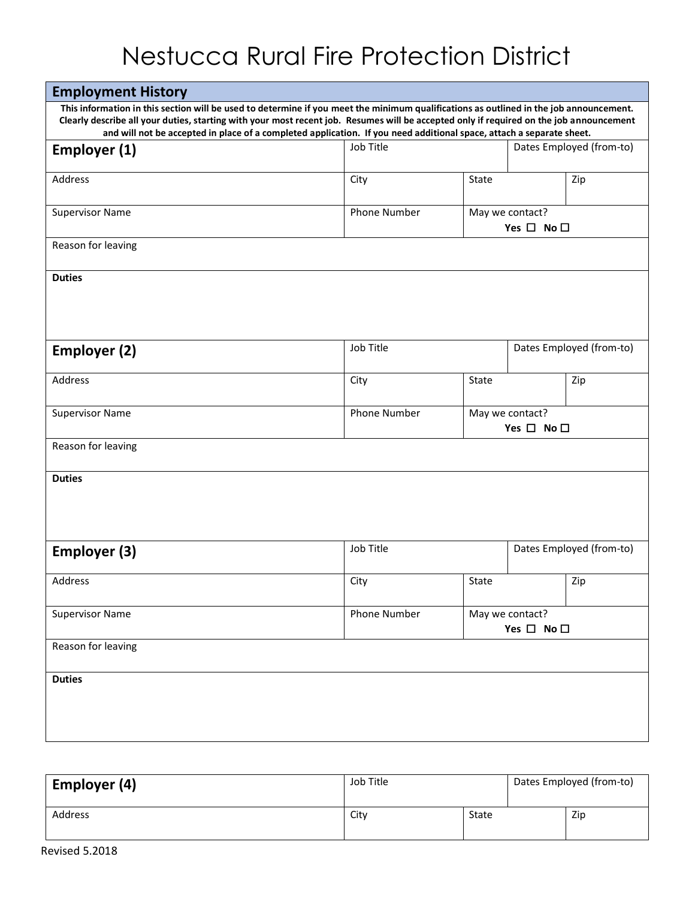| <b>Employment History</b>                                                                                                                                                                                                                                                                                                                                                                                 |               |       |                                               |     |  |  |  |  |  |  |
|-----------------------------------------------------------------------------------------------------------------------------------------------------------------------------------------------------------------------------------------------------------------------------------------------------------------------------------------------------------------------------------------------------------|---------------|-------|-----------------------------------------------|-----|--|--|--|--|--|--|
| This information in this section will be used to determine if you meet the minimum qualifications as outlined in the job announcement.<br>Clearly describe all your duties, starting with your most recent job. Resumes will be accepted only if required on the job announcement<br>and will not be accepted in place of a completed application. If you need additional space, attach a separate sheet. |               |       |                                               |     |  |  |  |  |  |  |
| Employer (1)                                                                                                                                                                                                                                                                                                                                                                                              | Job Title     |       | Dates Employed (from-to)                      |     |  |  |  |  |  |  |
| Address                                                                                                                                                                                                                                                                                                                                                                                                   | City          | State |                                               | Zip |  |  |  |  |  |  |
| <b>Supervisor Name</b>                                                                                                                                                                                                                                                                                                                                                                                    | Phone Number  |       | May we contact?<br>Yes $\square$ No $\square$ |     |  |  |  |  |  |  |
| Reason for leaving                                                                                                                                                                                                                                                                                                                                                                                        |               |       |                                               |     |  |  |  |  |  |  |
| <b>Duties</b>                                                                                                                                                                                                                                                                                                                                                                                             |               |       |                                               |     |  |  |  |  |  |  |
| <b>Employer (2)</b>                                                                                                                                                                                                                                                                                                                                                                                       | Job Title     |       | Dates Employed (from-to)                      |     |  |  |  |  |  |  |
| Address                                                                                                                                                                                                                                                                                                                                                                                                   | State<br>City |       |                                               | Zip |  |  |  |  |  |  |
| <b>Supervisor Name</b>                                                                                                                                                                                                                                                                                                                                                                                    | Phone Number  |       | May we contact?<br>Yes $\Box$ No $\Box$       |     |  |  |  |  |  |  |
| Reason for leaving                                                                                                                                                                                                                                                                                                                                                                                        |               |       |                                               |     |  |  |  |  |  |  |
| <b>Duties</b>                                                                                                                                                                                                                                                                                                                                                                                             |               |       |                                               |     |  |  |  |  |  |  |
| Employer (3)                                                                                                                                                                                                                                                                                                                                                                                              | Job Title     |       | Dates Employed (from-to)                      |     |  |  |  |  |  |  |
| Address                                                                                                                                                                                                                                                                                                                                                                                                   | City          | State |                                               | Zip |  |  |  |  |  |  |
| <b>Supervisor Name</b>                                                                                                                                                                                                                                                                                                                                                                                    | Phone Number  |       | May we contact?<br>Yes $\square$ No $\square$ |     |  |  |  |  |  |  |
| Reason for leaving                                                                                                                                                                                                                                                                                                                                                                                        |               |       |                                               |     |  |  |  |  |  |  |
| <b>Duties</b>                                                                                                                                                                                                                                                                                                                                                                                             |               |       |                                               |     |  |  |  |  |  |  |

| Employer (4) | Job Title | Dates Employed (from-to) |  |     |  |
|--------------|-----------|--------------------------|--|-----|--|
| Address      | City      | State                    |  | Zip |  |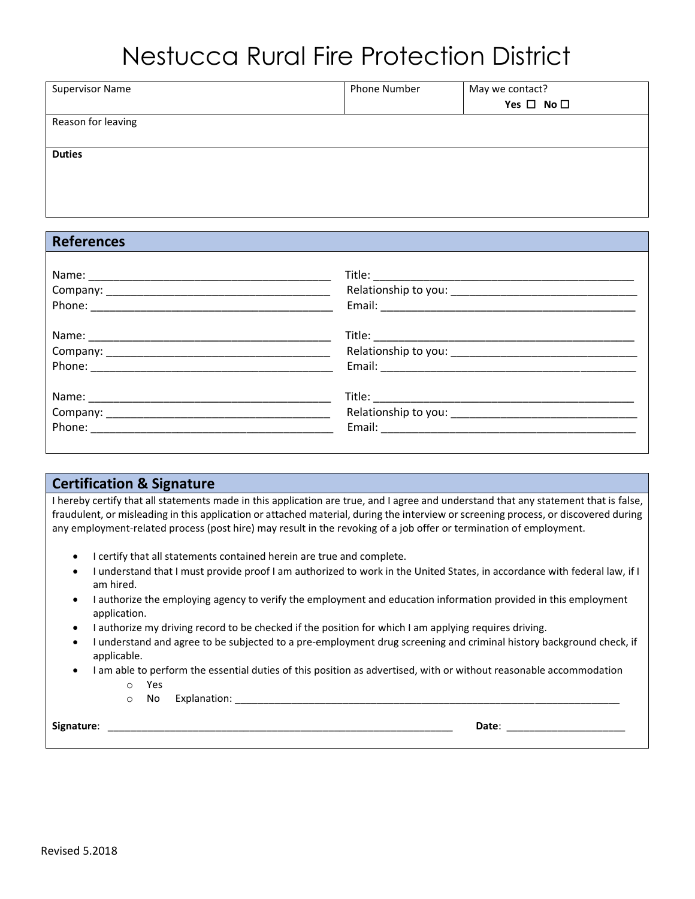| <b>Supervisor Name</b> | <b>Phone Number</b> | May we contact?<br>Yes $\square$ No $\square$ |
|------------------------|---------------------|-----------------------------------------------|
| Reason for leaving     |                     |                                               |
| <b>Duties</b>          |                     |                                               |

#### **References**

#### **Certification & Signature**

I hereby certify that all statements made in this application are true, and I agree and understand that any statement that is false, fraudulent, or misleading in this application or attached material, during the interview or screening process, or discovered during any employment-related process (post hire) may result in the revoking of a job offer or termination of employment.

- I certify that all statements contained herein are true and complete.
- I understand that I must provide proof I am authorized to work in the United States, in accordance with federal law, if I am hired.
- I authorize the employing agency to verify the employment and education information provided in this employment application.
- I authorize my driving record to be checked if the position for which I am applying requires driving.
- I understand and agree to be subjected to a pre-employment drug screening and criminal history background check, if applicable.
- I am able to perform the essential duties of this position as advertised, with or without reasonable accommodation o Yes
	- o No Explanation: \_\_\_\_\_\_\_\_\_\_\_\_\_\_\_\_\_\_\_\_\_\_\_\_\_\_\_\_\_\_\_\_\_\_\_\_\_\_\_\_\_\_\_\_\_\_\_\_\_\_\_\_\_\_\_\_\_\_\_\_\_\_\_\_\_\_\_\_

**Signature**: \_\_\_\_\_\_\_\_\_\_\_\_\_\_\_\_\_\_\_\_\_\_\_\_\_\_\_\_\_\_\_\_\_\_\_\_\_\_\_\_\_\_\_\_\_\_\_\_\_\_\_\_\_\_\_\_\_\_\_\_\_ **Date**: \_\_\_\_\_\_\_\_\_\_\_\_\_\_\_\_\_\_\_\_\_